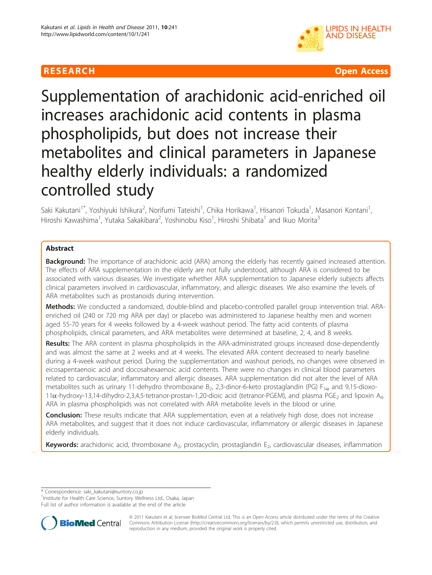

**RESEARCH Open Access** 

# Supplementation of arachidonic acid-enriched oil increases arachidonic acid contents in plasma phospholipids, but does not increase their metabolites and clinical parameters in Japanese healthy elderly individuals: a randomized controlled study

Saki Kakutani<sup>1\*</sup>, Yoshiyuki Ishikura<sup>2</sup>, Norifumi Tateishi<sup>1</sup>, Chika Horikawa<sup>1</sup>, Hisanori Tokuda<sup>1</sup>, Masanori Kontani<sup>1</sup> , Hiroshi Kawashima<sup>1</sup>, Yutaka Sakakibara<sup>2</sup>, Yoshinobu Kiso<sup>1</sup>, Hiroshi Shibata<sup>1</sup> and Ikuo Morita<sup>3</sup>

## Abstract

Background: The importance of arachidonic acid (ARA) among the elderly has recently gained increased attention. The effects of ARA supplementation in the elderly are not fully understood, although ARA is considered to be associated with various diseases. We investigate whether ARA supplementation to Japanese elderly subjects affects clinical parameters involved in cardiovascular, inflammatory, and allergic diseases. We also examine the levels of ARA metabolites such as prostanoids during intervention.

Methods: We conducted a randomized, double-blind and placebo-controlled parallel group intervention trial. ARAenriched oil (240 or 720 mg ARA per day) or placebo was administered to Japanese healthy men and women aged 55-70 years for 4 weeks followed by a 4-week washout period. The fatty acid contents of plasma phospholipids, clinical parameters, and ARA metabolites were determined at baseline, 2, 4, and 8 weeks.

Results: The ARA content in plasma phospholipids in the ARA-administrated groups increased dose-dependently and was almost the same at 2 weeks and at 4 weeks. The elevated ARA content decreased to nearly baseline during a 4-week washout period. During the supplementation and washout periods, no changes were observed in eicosapentaenoic acid and docosahexaenoic acid contents. There were no changes in clinical blood parameters related to cardiovascular, inflammatory and allergic diseases. ARA supplementation did not alter the level of ARA metabolites such as urinary 11-dehydro thromboxane B<sub>2</sub>, 2,3-dinor-6-keto prostaglandin (PG) F<sub>1a</sub> and 9,15-dioxo-11α-hydroxy-13,14-dihydro-2,3,4,5-tetranor-prostan-1,20-dioic acid (tetranor-PGEM), and plasma PGE<sub>2</sub> and lipoxin A<sub>4</sub>. ARA in plasma phospholipids was not correlated with ARA metabolite levels in the blood or urine.

Conclusion: These results indicate that ARA supplementation, even at a relatively high dose, does not increase ARA metabolites, and suggest that it does not induce cardiovascular, inflammatory or allergic diseases in Japanese elderly individuals.

Keywords: arachidonic acid, thromboxane  $A_2$ , prostacyclin, prostaglandin  $E_2$ , cardiovascular diseases, inflammation

\* Correspondence: [saki\\_kakutani@suntory.co.jp](mailto:saki_kakutani@suntory.co.jp)

<sup>1</sup>Institute for Health Care Science, Suntory Wellness Ltd., Osaka, Japan

Full list of author information is available at the end of the article



© 2011 Kakutani et al; licensee BioMed Central Ltd. This is an Open Access article distributed under the terms of the Creative Commons Attribution License [\(http://creativecommons.org/licenses/by/2.0](http://creativecommons.org/licenses/by/2.0)), which permits unrestricted use, distribution, and reproduction in any medium, provided the original work is properly cited.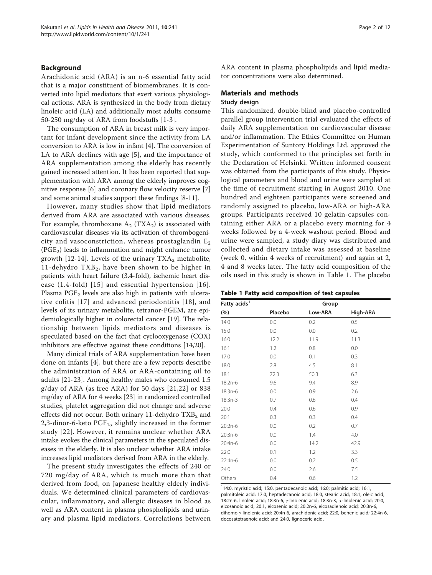#### Background

Arachidonic acid (ARA) is an n-6 essential fatty acid that is a major constituent of biomembranes. It is converted into lipid mediators that exert various physiological actions. ARA is synthesized in the body from dietary linoleic acid (LA) and additionally most adults consume 50-250 mg/day of ARA from foodstuffs [[1-3](#page-10-0)].

The consumption of ARA in breast milk is very important for infant development since the activity from LA conversion to ARA is low in infant [[4\]](#page-10-0). The conversion of LA to ARA declines with age [\[5](#page-10-0)], and the importance of ARA supplementation among the elderly has recently gained increased attention. It has been reported that supplementation with ARA among the elderly improves cognitive response [\[6](#page-10-0)] and coronary flow velocity reserve [\[7](#page-10-0)] and some animal studies support these findings [\[8](#page-10-0)-[11](#page-10-0)].

However, many studies show that lipid mediators derived from ARA are associated with various diseases. For example, thromboxane  $A_2$  (TXA<sub>2</sub>) is associated with cardiovascular diseases via its activation of thrombogenicity and vasoconstriction, whereas prostaglandin  $E_2$  $(PGE<sub>2</sub>)$  leads to inflammation and might enhance tumor growth [[12-14\]](#page-10-0). Levels of the urinary  $TXA_2$  metabolite, 11-dehydro TXB<sub>2</sub>, have been shown to be higher in patients with heart failure (3.4-fold), ischemic heart disease (1.4-fold) [\[15](#page-10-0)] and essential hypertension [[16\]](#page-10-0). Plasma  $PGE<sub>2</sub>$  levels are also high in patients with ulcerative colitis [[17](#page-10-0)] and advanced periodontitis [[18](#page-10-0)], and levels of its urinary metabolite, tetranor-PGEM, are epidemiologically higher in colorectal cancer [\[19](#page-10-0)]. The relationship between lipids mediators and diseases is speculated based on the fact that cyclooxygenase (COX) inhibitors are effective against these conditions [[14,20\]](#page-10-0).

Many clinical trials of ARA supplementation have been done on infants [\[4](#page-10-0)], but there are a few reports describe the administration of ARA or ARA-containing oil to adults [[21-23](#page-10-0)]. Among healthy males who consumed 1.5 g/day of ARA (as free ARA) for 50 days [[21,22\]](#page-10-0) or 838 mg/day of ARA for 4 weeks [[23](#page-10-0)] in randomized controlled studies, platelet aggregation did not change and adverse effects did not occur. Both urinary 11-dehydro  $TXB<sub>2</sub>$  and 2,3-dinor-6-keto  $PGF_{1\alpha}$  slightly increased in the former study [[22\]](#page-10-0). However, it remains unclear whether ARA intake evokes the clinical parameters in the speculated diseases in the elderly. It is also unclear whether ARA intake increases lipid mediators derived from ARA in the elderly.

The present study investigates the effects of 240 or 720 mg/day of ARA, which is much more than that derived from food, on Japanese healthy elderly individuals. We determined clinical parameters of cardiovascular, inflammatory, and allergic diseases in blood as well as ARA content in plasma phospholipids and urinary and plasma lipid mediators. Correlations between ARA content in plasma phospholipids and lipid mediator concentrations were also determined.

# Materials and methods

#### Study design

This randomized, double-blind and placebo-controlled parallel group intervention trial evaluated the effects of daily ARA supplementation on cardiovascular disease and/or inflammation. The Ethics Committee on Human Experimentation of Suntory Holdings Ltd. approved the study, which conformed to the principles set forth in the Declaration of Helsinki. Written informed consent was obtained from the participants of this study. Physiological parameters and blood and urine were sampled at the time of recruitment starting in August 2010. One hundred and eighteen participants were screened and randomly assigned to placebo, low-ARA or high-ARA groups. Participants received 10 gelatin-capsules containing either ARA or a placebo every morning for 4 weeks followed by a 4-week washout period. Blood and urine were sampled, a study diary was distributed and collected and dietary intake was assessed at baseline (week 0, within 4 weeks of recruitment) and again at 2, 4 and 8 weeks later. The fatty acid composition of the oils used in this study is shown in Table 1. The placebo

|  |  |  |  | Table 1 Fatty acid composition of test capsules |  |  |  |
|--|--|--|--|-------------------------------------------------|--|--|--|
|--|--|--|--|-------------------------------------------------|--|--|--|

| Fatty acids <sup>1</sup> | Group   |         |          |  |  |
|--------------------------|---------|---------|----------|--|--|
| (%)                      | Placebo | Low-ARA | High-ARA |  |  |
| 14:0                     | 0.0     | 0.2     | 0.5      |  |  |
| 15:0                     | 0.0     | 0.0     | 0.2      |  |  |
| 16:0                     | 12.2    | 11.9    | 11.3     |  |  |
| 16:1                     | 1.2     | 0.8     | 0.0      |  |  |
| 17:0                     | 0.0     | 0.1     | 0.3      |  |  |
| 18:0                     | 2.8     | 4.5     | 8.1      |  |  |
| 18:1                     | 72.3    | 50.3    | 6.3      |  |  |
| 18:2n-6                  | 9.6     | 9.4     | 8.9      |  |  |
| 18:3n-6                  | 0.0     | 0.9     | 2.6      |  |  |
| $18:3n-3$                | 0.7     | 0.6     | 0.4      |  |  |
| 20:0                     | 0.4     | 0.6     | 0.9      |  |  |
| 20:1                     | 0.3     | 0.3     | 0.4      |  |  |
| 20:2n-6                  | 0.0     | 0.2     | 0.7      |  |  |
| 20:3n-6                  | 0.0     | 1.4     | 4.0      |  |  |
| 20:4n-6                  | 0.0     | 14.2    | 42.9     |  |  |
| 22:0                     | 0.1     | 1.2     | 3.3      |  |  |
| 22:4n-6                  | 0.0     | 0.2     | 0.5      |  |  |
| 24:0                     | 0.0     | 2.6     | 7.5      |  |  |
| Others                   | 0.4     | 0.6     | 1.2      |  |  |

<sup>1</sup>14:0, myristic acid; 15:0, pentadecanoic acid; 16:0; palmitic acid; 16:1, palmitoleic acid; 17:0, heptadecanoic acid; 18:0, stearic acid; 18:1, oleic acid; 18:2n-6, linoleic acid; 18:3n-6, y-linolenic acid; 18:3n-3,  $\alpha$ -linolenic acid; 20:0, eicosanoic acid; 20:1, eicosenic acid; 20:2n-6, eicosadienoic acid; 20:3n-6, dihomo-g-linolenic acid; 20:4n-6, arachidonic acid; 22:0, behenic acid; 22:4n-6, docosatetraenoic acid; and 24:0, lignoceric acid.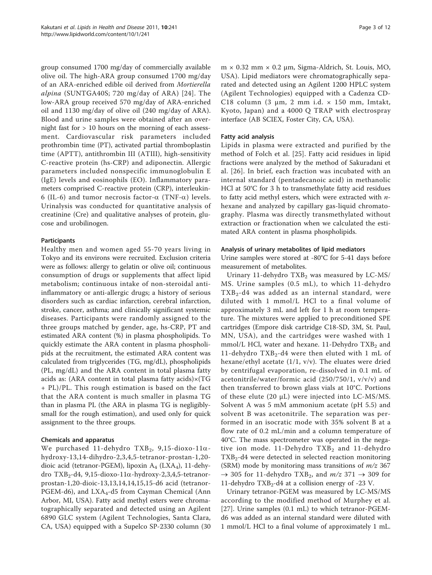group consumed 1700 mg/day of commercially available olive oil. The high-ARA group consumed 1700 mg/day of an ARA-enriched edible oil derived from Mortierella alpina (SUNTGA40S; 720 mg/day of ARA) [[24](#page-10-0)]. The low-ARA group received 570 mg/day of ARA-enriched oil and 1130 mg/day of olive oil (240 mg/day of ARA). Blood and urine samples were obtained after an overnight fast for  $> 10$  hours on the morning of each assessment. Cardiovascular risk parameters included prothrombin time (PT), activated partial thromboplastin time (APTT), antithrombin III (ATIII), high-sensitivity C-reactive protein (hs-CRP) and adiponectin. Allergic parameters included nonspecific immunoglobulin E (IgE) levels and eosinophils (EO). Inflammatory parameters comprised C-reactive protein (CRP), interleukin-6 (IL-6) and tumor necrosis factor- $\alpha$  (TNF- $\alpha$ ) levels. Urinalysis was conducted for quantitative analysis of creatinine (Cre) and qualitative analyses of protein, glucose and urobilinogen.

#### Participants

Healthy men and women aged 55-70 years living in Tokyo and its environs were recruited. Exclusion criteria were as follows: allergy to gelatin or olive oil; continuous consumption of drugs or supplements that affect lipid metabolism; continuous intake of non-steroidal antiinflammatory or anti-allergic drugs; a history of serious disorders such as cardiac infarction, cerebral infarction, stroke, cancer, asthma; and clinically significant systemic diseases. Participants were randomly assigned to the three groups matched by gender, age, hs-CRP, PT and estimated ARA content (%) in plasma phospholipids. To quickly estimate the ARA content in plasma phospholipids at the recruitment, the estimated ARA content was calculated from triglycerides (TG, mg/dL), phospholipids (PL, mg/dL) and the ARA content in total plasma fatty acids as: (ARA content in total plasma fatty acids)×(TG + PL)/PL. This rough estimation is based on the fact that the ARA content is much smaller in plasma TG than in plasma PL (the ARA in plasma TG is negligiblysmall for the rough estimation), and used only for quick assignment to the three groups.

#### Chemicals and apparatus

We purchased 11-dehydro TXB<sub>2</sub>, 9,15-dioxo-11 $\alpha$ hydroxy-13,14-dihydro-2,3,4,5-tetranor-prostan-1,20 dioic acid (tetranor-PGEM), lipoxin  $A_4$  (LX $A_4$ ), 11-dehydro  $TXB_2$ -d4, 9,15-dioxo-11 $\alpha$ -hydroxy-2,3,4,5-tetranorprostan-1,20-dioic-13,13,14,14,15,15-d6 acid (tetranor-PGEM-d6), and  $LXA<sub>4</sub>$ -d5 from Cayman Chemical (Ann Arbor, MI, USA). Fatty acid methyl esters were chromatographically separated and detected using an Agilent 6890 GLC system (Agilent Technologies, Santa Clara, CA, USA) equipped with a Supelco SP-2330 column (30

m × 0.32 mm × 0.2 μm, Sigma-Aldrich, St. Louis, MO, USA). Lipid mediators were chromatographically separated and detected using an Agilent 1200 HPLC system (Agilent Technologies) equipped with a Cadenza CD-C18 column (3  $\mu$ m, 2 mm i.d. × 150 mm, Imtakt, Kyoto, Japan) and a 4000 Q TRAP with electrospray interface (AB SCIEX, Foster City, CA, USA).

#### Fatty acid analysis

Lipids in plasma were extracted and purified by the method of Folch et al. [\[25](#page-10-0)]. Fatty acid residues in lipid fractions were analyzed by the method of Sakuradani et al. [[26\]](#page-10-0). In brief, each fraction was incubated with an internal standard (pentadecanoic acid) in methanolic HCl at 50°C for 3 h to transmethylate fatty acid residues to fatty acid methyl esters, which were extracted with  $n$ hexane and analyzed by capillary gas-liquid chromatography. Plasma was directly transmethylated without extraction or fractionation when we calculated the estimated ARA content in plasma phospholipids.

#### Analysis of urinary metabolites of lipid mediators

Urine samples were stored at -80°C for 5-41 days before measurement of metabolites.

Urinary 11-dehydro  $TXB<sub>2</sub>$  was measured by LC-MS/ MS. Urine samples (0.5 mL), to which 11-dehydro  $TXB<sub>2</sub>$ -d4 was added as an internal standard, were diluted with 1 mmol/L HCl to a final volume of approximately 3 mL and left for 1 h at room temperature. The mixtures were applied to preconditioned SPE cartridges (Empore disk cartridge C18-SD, 3M, St. Paul, MN, USA), and the cartridges were washed with 1 mmol/L HCl, water and hexane. 11-Dehydro  $TXB<sub>2</sub>$  and 11-dehydro  $TXB_2$ -d4 were then eluted with 1 mL of hexane/ethyl acetate (1/1, v/v). The eluates were dried by centrifugal evaporation, re-dissolved in 0.1 mL of acetonitrile/water/formic acid (250/750/1, v/v/v) and then transferred to brown glass vials at 10°C. Portions of these elute (20 μL) were injected into LC-MS/MS. Solvent A was 5 mM ammonium acetate (pH 5.5) and solvent B was acetonitrile. The separation was performed in an isocratic mode with 35% solvent B at a flow rate of 0.2 mL/min and a column temperature of 40°C. The mass spectrometer was operated in the negative ion mode.  $11$ -Dehydro TXB<sub>2</sub> and  $11$ -dehydro  $TXB<sub>2</sub>$ -d4 were detected in selected reaction monitoring (SRM) mode by monitoring mass transitions of  $m/z$  367  $\rightarrow$  305 for 11-dehydro TXB<sub>2</sub>, and *m/z* 371  $\rightarrow$  309 for 11-dehydro  $TXB_2$ -d4 at a collision energy of -23 V.

Urinary tetranor-PGEM was measured by LC-MS/MS according to the modified method of Murphey et al. [[27\]](#page-10-0). Urine samples (0.1 mL) to which tetranor-PGEMd6 was added as an internal standard were diluted with 1 mmol/L HCl to a final volume of approximately 1 mL.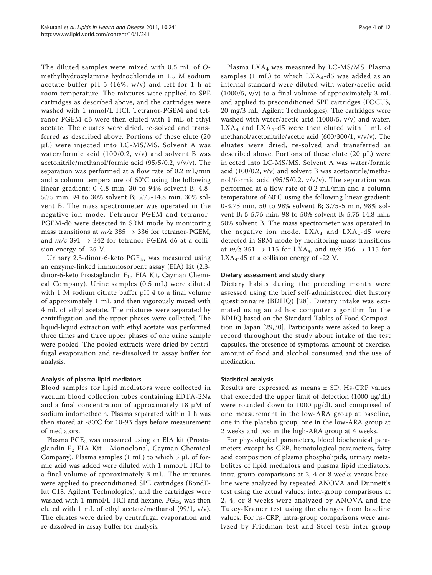The diluted samples were mixed with 0.5 mL of Omethylhydroxylamine hydrochloride in 1.5 M sodium acetate buffer pH 5 (16%, w/v) and left for 1 h at room temperature. The mixtures were applied to SPE cartridges as described above, and the cartridges were washed with 1 mmol/L HCl. Tetranor-PGEM and tetranor-PGEM-d6 were then eluted with 1 mL of ethyl acetate. The eluates were dried, re-solved and transferred as described above. Portions of these elute (20 μL) were injected into LC-MS/MS. Solvent A was water/formic acid (100/0.2, v/v) and solvent B was acetonitrile/methanol/formic acid (95/5/0.2, v/v/v). The separation was performed at a flow rate of 0.2 mL/min and a column temperature of 60°C using the following linear gradient: 0-4.8 min, 30 to 94% solvent B; 4.8- 5.75 min, 94 to 30% solvent B; 5.75-14.8 min, 30% solvent B. The mass spectrometer was operated in the negative ion mode. Tetranor-PGEM and tetranor-PGEM-d6 were detected in SRM mode by monitoring mass transitions at  $m/z$  385  $\rightarrow$  336 for tetranor-PGEM, and  $m/z$  391  $\rightarrow$  342 for tetranor-PGEM-d6 at a collision energy of -25 V.

Urinary 2,3-dinor-6-keto  $\text{PGF}_{1\alpha}$  was measured using an enzyme-linked immunosorbent assay (EIA) kit (2,3 dinor-6-keto Prostaglandin  $F_{1\alpha}$  EIA Kit, Cayman Chemical Company). Urine samples (0.5 mL) were diluted with 1 M sodium citrate buffer pH 4 to a final volume of approximately 1 mL and then vigorously mixed with 4 mL of ethyl acetate. The mixtures were separated by centrifugation and the upper phases were collected. The liquid-liquid extraction with ethyl acetate was performed three times and three upper phases of one urine sample were pooled. The pooled extracts were dried by centrifugal evaporation and re-dissolved in assay buffer for analysis.

#### Analysis of plasma lipid mediators

Blood samples for lipid mediators were collected in vacuum blood collection tubes containing EDTA-2Na and a final concentration of approximately 18 μM of sodium indomethacin. Plasma separated within 1 h was then stored at -80°C for 10-93 days before measurement of mediators.

Plasma  $PGE_2$  was measured using an EIA kit (Prostaglandin E<sub>2</sub> EIA Kit - Monoclonal, Cayman Chemical Company). Plasma samples  $(1 \text{ mL})$  to which 5  $\mu$ L of formic acid was added were diluted with 1 mmol/L HCl to a final volume of approximately 3 mL. The mixtures were applied to preconditioned SPE cartridges (BondElut C18, Agilent Technologies), and the cartridges were washed with 1 mmol/L HCl and hexane.  $PGE_2$  was then eluted with 1 mL of ethyl acetate/methanol (99/1, v/v). The eluates were dried by centrifugal evaporation and re-dissolved in assay buffer for analysis.

Plasma  $LXA<sub>4</sub>$  was measured by LC-MS/MS. Plasma samples (1 mL) to which  $LXA<sub>4</sub>$ -d5 was added as an internal standard were diluted with water/acetic acid (1000/5, v/v) to a final volume of approximately 3 mL and applied to preconditioned SPE cartridges (FOCUS, 20 mg/3 mL, Agilent Technologies). The cartridges were washed with water/acetic acid (1000/5, v/v) and water.  $LXA<sub>4</sub>$  and  $LXA<sub>4</sub>$ -d5 were then eluted with 1 mL of methanol/acetonitrile/acetic acid (600/300/1, v/v/v). The eluates were dried, re-solved and transferred as described above. Portions of these elute (20 μL) were injected into LC-MS/MS. Solvent A was water/formic acid (100/0.2, v/v) and solvent B was acetonitrile/methanol/formic acid (95/5/0.2,  $v/v/v$ ). The separation was performed at a flow rate of 0.2 mL/min and a column temperature of 60°C using the following linear gradient: 0-3.75 min, 50 to 98% solvent B; 3.75-5 min, 98% solvent B; 5-5.75 min, 98 to 50% solvent B; 5.75-14.8 min, 50% solvent B. The mass spectrometer was operated in the negative ion mode.  $LXA<sub>4</sub>$  and  $LXA<sub>4</sub>$ -d5 were detected in SRM mode by monitoring mass transitions at  $m/z$  351  $\rightarrow$  115 for LXA<sub>4</sub>, and  $m/z$  356  $\rightarrow$  115 for  $LXA<sub>4</sub>$ -d5 at a collision energy of -22 V.

#### Dietary assessment and study diary

Dietary habits during the preceding month were assessed using the brief self-administered diet history questionnaire (BDHQ) [[28](#page-10-0)]. Dietary intake was estimated using an ad hoc computer algorithm for the BDHQ based on the Standard Tables of Food Composition in Japan [[29,30](#page-10-0)]. Participants were asked to keep a record throughout the study about intake of the test capsules, the presence of symptoms, amount of exercise, amount of food and alcohol consumed and the use of medication.

#### Statistical analysis

Results are expressed as means ± SD. Hs-CRP values that exceeded the upper limit of detection  $(1000 \mu g/dL)$ were rounded down to 1000 μg/dL and comprised of one measurement in the low-ARA group at baseline, one in the placebo group, one in the low-ARA group at 2 weeks and two in the high-ARA group at 4 weeks.

For physiological parameters, blood biochemical parameters except hs-CRP, hematological parameters, fatty acid composition of plasma phospholipids, urinary metabolites of lipid mediators and plasma lipid mediators, intra-group comparisons at 2, 4 or 8 weeks versus baseline were analyzed by repeated ANOVA and Dunnett's test using the actual values; inter-group comparisons at 2, 4, or 8 weeks were analyzed by ANOVA and the Tukey-Kramer test using the changes from baseline values. For hs-CRP, intra-group comparisons were analyzed by Friedman test and Steel test; inter-group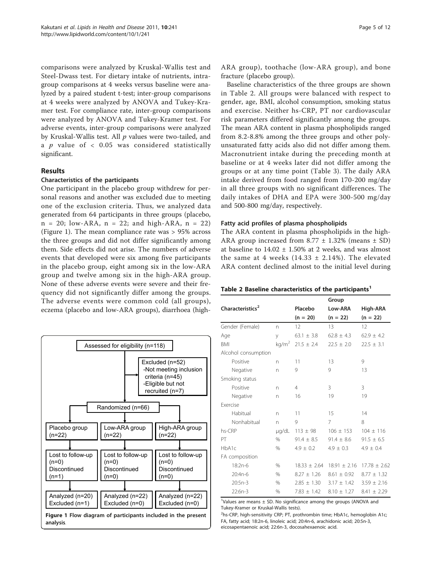comparisons were analyzed by Kruskal-Wallis test and Steel-Dwass test. For dietary intake of nutrients, intragroup comparisons at 4 weeks versus baseline were analyzed by a paired student t-test; inter-group comparisons at 4 weeks were analyzed by ANOVA and Tukey-Kramer test. For compliance rate, inter-group comparisons were analyzed by ANOVA and Tukey-Kramer test. For adverse events, inter-group comparisons were analyzed by Kruskal-Wallis test. All  $p$  values were two-tailed, and a  $p$  value of  $< 0.05$  was considered statistically significant.

### Results

#### Characteristics of the participants

One participant in the placebo group withdrew for personal reasons and another was excluded due to meeting one of the exclusion criteria. Thus, we analyzed data generated from 64 participants in three groups (placebo,  $n = 20$ ; low-ARA,  $n = 22$ ; and high-ARA,  $n = 22$ ) (Figure 1). The mean compliance rate was > 95% across the three groups and did not differ significantly among them. Side effects did not arise. The numbers of adverse events that developed were six among five participants in the placebo group, eight among six in the low-ARA group and twelve among six in the high-ARA group. None of these adverse events were severe and their frequency did not significantly differ among the groups. The adverse events were common cold (all groups), eczema (placebo and low-ARA groups), diarrhoea (high-



analysis.

ARA group), toothache (low-ARA group), and bone fracture (placebo group).

Baseline characteristics of the three groups are shown in Table 2. All groups were balanced with respect to gender, age, BMI, alcohol consumption, smoking status and exercise. Neither hs-CRP, PT nor cardiovascular risk parameters differed significantly among the groups. The mean ARA content in plasma phospholipids ranged from 8.2-8.8% among the three groups and other polyunsaturated fatty acids also did not differ among them. Macronutrient intake during the preceding month at baseline or at 4 weeks later did not differ among the groups or at any time point (Table [3\)](#page-5-0). The daily ARA intake derived from food ranged from 170-200 mg/day in all three groups with no significant differences. The daily intakes of DHA and EPA were 300-500 mg/day and 500-800 mg/day, respectively.

#### Fatty acid profiles of plasma phospholipids

The ARA content in plasma phospholipids in the high-ARA group increased from  $8.77 \pm 1.32\%$  (means  $\pm$  SD) at baseline to  $14.02 \pm 1.50\%$  at 2 weeks, and was almost the same at 4 weeks  $(14.33 \pm 2.14\%)$ . The elevated ARA content declined almost to the initial level during

#### Table 2 Baseline characteristics of the participants<sup>1</sup>

|                              |                   |                 | Group            |                 |
|------------------------------|-------------------|-----------------|------------------|-----------------|
| Characteristics <sup>2</sup> |                   | Placebo         | Low-ARA          | High-ARA        |
|                              |                   | $(n = 20)$      | $(n = 22)$       | $(n = 22)$      |
| Gender (Female)              | n                 | 12              | 13               | 12              |
| Age                          | У                 | $63.1 \pm 3.8$  | $62.8 \pm 4.3$   | $62.9 + 4.2$    |
| <b>BMI</b>                   | kg/m <sup>2</sup> | $21.5 \pm 2.4$  | $22.5 \pm 2.0$   | $22.5 \pm 3.1$  |
| Alcohol consumption          |                   |                 |                  |                 |
| Positive                     | n.                | 11              | 13               | 9               |
| Negative                     | n                 | 9               | 9                | 13              |
| Smoking status               |                   |                 |                  |                 |
| Positive                     | n                 | $\overline{4}$  | 3                | 3               |
| Negative                     | n                 | 16              | 19               | 19              |
| <b>Exercise</b>              |                   |                 |                  |                 |
| Habitual                     | n                 | 11              | 15               | 14              |
| Nonhabitual                  | n.                | 9               | 7                | 8               |
| hs-CRP                       | µg/dL             | $113 \pm 98$    | $106 \pm 153$    | $104 \pm 116$   |
| PT                           | $\%$              | $91.4 + 8.5$    | $91.4 + 8.6$     | $91.5 \pm 6.5$  |
| HbA1c                        | $\%$              | $4.9 + 0.2$     | $4.9 \pm 0.3$    | $4.9 \pm 0.4$   |
| FA composition               |                   |                 |                  |                 |
| 18:2n-6                      | $\%$              | $18.33 + 2.64$  | $18.91 \pm 2.16$ | $17.78 + 2.62$  |
| 20:4n-6                      | $\%$              | $8.27 + 1.26$   | $8.61 + 0.92$    | $8.77 + 1.32$   |
| $20:5n-3$                    | $\%$              | $2.85 \pm 1.30$ | $3.17 \pm 1.42$  | $3.59 \pm 2.16$ |
| $22:6n-3$                    | %                 | $7.83 + 1.42$   | $8.10 \pm 1.27$  | $8.41 \pm 2.29$ |

<sup>1</sup>Values are means  $\pm$  SD. No significance among the groups (ANOVA and Tukey-Kramer or Kruskal-Wallis tests).

<sup>2</sup>hs-CRP, high-sensitivity CRP; PT, prothrombin time; HbA1c, hemoglobin A1c; FA, fatty acid; 18:2n-6, linoleic acid; 20:4n-6, arachidonic acid; 20:5n-3, eicosapentaenoic acid; 22:6n-3, docosahexaenoic acid.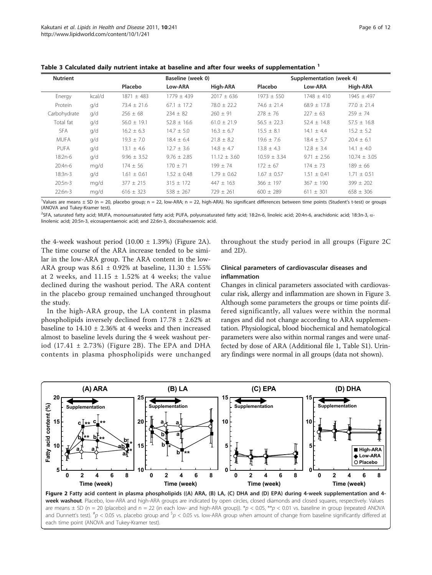| <b>Nutrient</b> |        |                 | Baseline (week 0) |                  |                  | Supplementation (week 4) |                  |  |  |
|-----------------|--------|-----------------|-------------------|------------------|------------------|--------------------------|------------------|--|--|
|                 |        | Placebo         | Low-ARA           | High-ARA         | Placebo          | Low-ARA                  | High-ARA         |  |  |
| Energy          | kcal/d | $1871 \pm 483$  | $1779 + 439$      | $2017 + 636$     | $1973 + 550$     | $1748 + 410$             | $1945 + 497$     |  |  |
| Protein         | q/d    | $73.4 \pm 21.6$ | $67.1 + 17.2$     | $78.0 + 22.2$    | $74.6 + 21.4$    | $68.9 + 17.8$            | $77.0 + 21.4$    |  |  |
| Carbohydrate    | q/d    | $256 \pm 68$    | $234 + 82$        | $260 \pm 91$     | $278 \pm 76$     | $227 \pm 63$             | $259 \pm 74$     |  |  |
| Total fat       | q/d    | $56.0 \pm 19.1$ | $52.8 \pm 16.6$   | $61.0 \pm 21.9$  | $56.5 + 22.3$    | $52.4 \pm 14.8$          | $57.5 + 16.8$    |  |  |
| <b>SFA</b>      | q/d    | $16.2 \pm 6.3$  | $14.7 \pm 5.0$    | $16.3 \pm 6.7$   | $15.5 \pm 8.1$   | $14.1 \pm 4.4$           | $15.2 \pm 5.2$   |  |  |
| <b>MUFA</b>     | q/d    | $19.3 \pm 7.0$  | $18.4 \pm 6.4$    | $21.8 \pm 8.2$   | $19.6 + 7.6$     | $18.4 \pm 5.7$           | $20.4 \pm 6.1$   |  |  |
| PUFA            | q/d    | $13.1 \pm 4.6$  | $12.7 \pm 3.6$    | $14.8 \pm 4.7$   | $13.8 \pm 4.3$   | $12.8 \pm 3.4$           | $14.1 \pm 4.0$   |  |  |
| $18:2n-6$       | q/d    | $9.96 \pm 3.52$ | $9.76 \pm 2.85$   | $11.12 \pm 3.60$ | $10.59 \pm 3.34$ | $9.71 \pm 2.56$          | $10.74 \pm 3.05$ |  |  |
| $20:4n-6$       | mg/d   | $174 + 56$      | $170 + 71$        | $199 + 74$       | $172 \pm 67$     | $174 + 73$               | $189 + 66$       |  |  |
| $18:3n-3$       | q/d    | $1.61 \pm 0.61$ | $1.52 \pm 0.48$   | $1.79 \pm 0.62$  | $1.67 \pm 0.57$  | $1.51 \pm 0.41$          | $1.71 \pm 0.51$  |  |  |
| $20:5n-3$       | mg/d   | $377 \pm 215$   | $315 \pm 172$     | $447 \pm 163$    | $366 + 197$      | $367 + 190$              | $399 + 202$      |  |  |
| $22:6n-3$       | mg/d   | $616 \pm 323$   | $538 + 267$       | $729 + 261$      | $600 + 289$      | $611 + 301$              | $658 \pm 306$    |  |  |

<span id="page-5-0"></span>Table 3 Calculated daily nutrient intake at baseline and after four weeks of supplementation <sup>1</sup>

Values are means ± SD (n = 20, placebo group; n = 22, low-ARA; n = 22, high-ARA). No significant differences between time points (Student's t-test) or groups (ANOVA and Tukey-Kramer test).

<sup>2</sup>SFA, saturated fatty acid; MUFA, monounsaturated fatty acid; PUFA, polyunsaturated fatty acid; 18:2n-6, linoleic acid; 20:4n-6, arachidonic acid; 18:3n-3, α-<br>linolenic acid: 20:5n-3, eicosanentaenoic acid: and 22:6n-3, linolenic acid; 20:5n-3, eicosapentaenoic acid; and 22:6n-3, docosahexaenoic acid.

the 4-week washout period  $(10.00 \pm 1.39%)$  (Figure 2A). The time course of the ARA increase tended to be similar in the low-ARA group. The ARA content in the low-ARA group was  $8.61 \pm 0.92\%$  at baseline,  $11.30 \pm 1.55\%$ at 2 weeks, and  $11.15 \pm 1.52\%$  at 4 weeks; the value declined during the washout period. The ARA content in the placebo group remained unchanged throughout the study.

In the high-ARA group, the LA content in plasma phospholipids inversely declined from 17.78 ± 2.62% at baseline to  $14.10 \pm 2.36\%$  at 4 weeks and then increased almost to baseline levels during the 4 week washout period  $(17.41 \pm 2.73%)$  (Figure 2B). The EPA and DHA contents in plasma phospholipids were unchanged throughout the study period in all groups (Figure 2C and 2D).

#### Clinical parameters of cardiovascular diseases and inflammation

Changes in clinical parameters associated with cardiovascular risk, allergy and inflammation are shown in Figure [3](#page-6-0). Although some parameters the groups or time points differed significantly, all values were within the normal ranges and did not change according to ARA supplementation. Physiological, blood biochemical and hematological parameters were also within normal ranges and were unaffected by dose of ARA (Additional file [1,](#page-9-0) Table S1). Urinary findings were normal in all groups (data not shown).



week washout. Placebo, low-ARA and high-ARA groups are indicated by open circles, closed diamonds and closed squares, respectively. Values are means  $\pm$  SD (n = 20 (placebo) and n = 22 (in each low- and high-ARA group)). \*p < 0.05, \*\*p < 0.01 vs. baseline in group (repeated ANOVA and Dunnett's test).  ${}^{t}p$  < 0.05 vs. placebo group and  ${}^{5}p$  < 0.05 vs. low-ARA group when amount of change from baseline significantly differed at each time point (ANOVA and Tukey-Kramer test).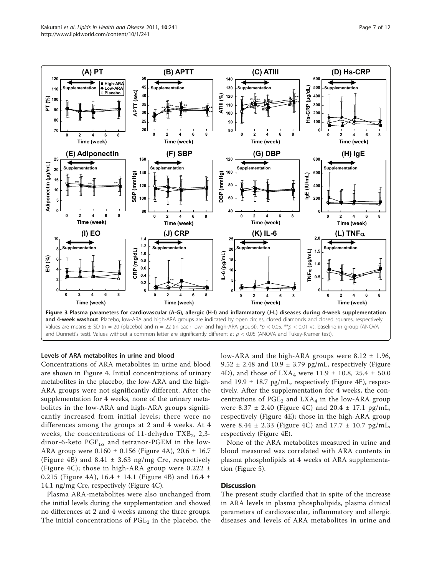<span id="page-6-0"></span>

#### Levels of ARA metabolites in urine and blood

Concentrations of ARA metabolites in urine and blood are shown in Figure [4.](#page-7-0) Initial concentrations of urinary metabolites in the placebo, the low-ARA and the high-ARA groups were not significantly different. After the supplementation for 4 weeks, none of the urinary metabolites in the low-ARA and high-ARA groups significantly increased from initial levels; there were no differences among the groups at 2 and 4 weeks. At 4 weeks, the concentrations of 11-dehydro  $TXB_2$ , 2,3dinor-6-keto  $PGF_{1\alpha}$  and tetranor-PGEM in the low-ARA group were 0.160 ± 0.156 (Figure [4A](#page-7-0)), 20.6 ± 16.7 (Figure [4B\)](#page-7-0) and 8.41 ± 3.63 ng/mg Cre, respectively (Figure [4C\)](#page-7-0); those in high-ARA group were  $0.222 \pm$ 0.215 (Figure [4A\)](#page-7-0),  $16.4 \pm 14.1$  (Figure [4B](#page-7-0)) and  $16.4 \pm 14.1$ 14.1 ng/mg Cre, respectively (Figure [4C](#page-7-0)).

Plasma ARA-metabolites were also unchanged from the initial levels during the supplementation and showed no differences at 2 and 4 weeks among the three groups. The initial concentrations of  $PGE_2$  in the placebo, the low-ARA and the high-ARA groups were  $8.12 \pm 1.96$ , 9.52  $\pm$  2.48 and 10.9  $\pm$  3.79 pg/mL, respectively (Figure [4D](#page-7-0)), and those of LXA<sub>4</sub> were 11.9  $\pm$  10.8, 25.4  $\pm$  50.0 and 19.9  $\pm$  18.7 pg/mL, respectively (Figure [4E](#page-7-0)), respectively. After the supplementation for 4 weeks, the concentrations of  $PGE_2$  and  $LXA_4$  in the low-ARA group were 8.37  $\pm$  2.40 (Figure [4C](#page-7-0)) and 20.4  $\pm$  17.1 pg/mL, respectively (Figure [4E\)](#page-7-0); those in the high-ARA group were 8.44  $\pm$  2.33 (Figure [4C](#page-7-0)) and 17.7  $\pm$  10.7 pg/mL, respectively (Figure [4E\)](#page-7-0).

None of the ARA metabolites measured in urine and blood measured was correlated with ARA contents in plasma phospholipids at 4 weeks of ARA supplementation (Figure [5](#page-8-0)).

#### **Discussion**

The present study clarified that in spite of the increase in ARA levels in plasma phospholipids, plasma clinical parameters of cardiovascular, inflammatory and allergic diseases and levels of ARA metabolites in urine and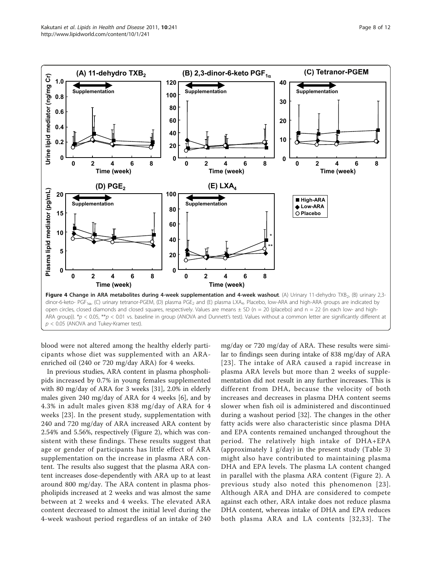<span id="page-7-0"></span>

blood were not altered among the healthy elderly participants whose diet was supplemented with an ARAenriched oil (240 or 720 mg/day ARA) for 4 weeks.

In previous studies, ARA content in plasma phospholipids increased by 0.7% in young females supplemented with 80 mg/day of ARA for 3 weeks [\[31\]](#page-10-0), 2.0% in elderly males given 240 mg/day of ARA for 4 weeks [\[6\]](#page-10-0), and by 4.3% in adult males given 838 mg/day of ARA for 4 weeks [\[23](#page-10-0)]. In the present study, supplementation with 240 and 720 mg/day of ARA increased ARA content by 2.54% and 5.56%, respectively (Figure [2\)](#page-5-0), which was consistent with these findings. These results suggest that age or gender of participants has little effect of ARA supplementation on the increase in plasma ARA content. The results also suggest that the plasma ARA content increases dose-dependently with ARA up to at least around 800 mg/day. The ARA content in plasma phospholipids increased at 2 weeks and was almost the same between at 2 weeks and 4 weeks. The elevated ARA content decreased to almost the initial level during the 4-week washout period regardless of an intake of 240

mg/day or 720 mg/day of ARA. These results were similar to findings seen during intake of 838 mg/day of ARA [[23](#page-10-0)]. The intake of ARA caused a rapid increase in plasma ARA levels but more than 2 weeks of supplementation did not result in any further increases. This is different from DHA, because the velocity of both increases and decreases in plasma DHA content seems slower when fish oil is administered and discontinued during a washout period [[32\]](#page-10-0). The changes in the other fatty acids were also characteristic since plasma DHA and EPA contents remained unchanged throughout the period. The relatively high intake of DHA+EPA (approximately 1 g/day) in the present study (Table [3](#page-5-0)) might also have contributed to maintaining plasma DHA and EPA levels. The plasma LA content changed in parallel with the plasma ARA content (Figure [2](#page-5-0)). A previous study also noted this phenomenon [[23\]](#page-10-0). Although ARA and DHA are considered to compete against each other, ARA intake does not reduce plasma DHA content, whereas intake of DHA and EPA reduces both plasma ARA and LA contents [[32,33](#page-10-0)]. The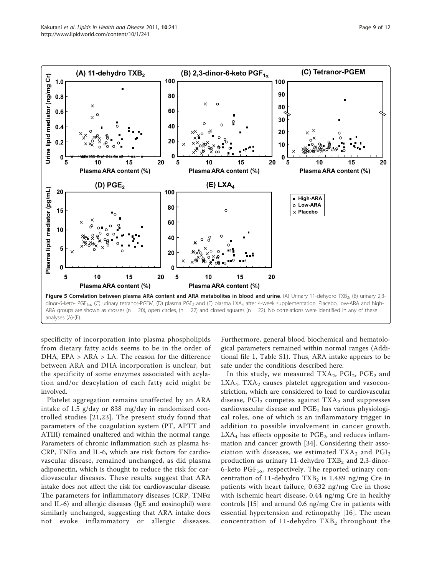<span id="page-8-0"></span>

analyses (A)-(E).

specificity of incorporation into plasma phospholipids from dietary fatty acids seems to be in the order of DHA, EPA > ARA > LA. The reason for the difference between ARA and DHA incorporation is unclear, but the specificity of some enzymes associated with acylation and/or deacylation of each fatty acid might be involved.

Platelet aggregation remains unaffected by an ARA intake of 1.5 g/day or 838 mg/day in randomized controlled studies [[21,23\]](#page-10-0). The present study found that parameters of the coagulation system (PT, APTT and ATIII) remained unaltered and within the normal range. Parameters of chronic inflammation such as plasma hs- $CRP$ , TNF $\alpha$  and IL-6, which are risk factors for cardiovascular disease, remained unchanged, as did plasma adiponectin, which is thought to reduce the risk for cardiovascular diseases. These results suggest that ARA intake does not affect the risk for cardiovascular disease. The parameters for inflammatory diseases (CRP,  $TNF\alpha$ and IL-6) and allergic diseases (IgE and eosinophil) were similarly unchanged, suggesting that ARA intake does not evoke inflammatory or allergic diseases. Furthermore, general blood biochemical and hematological parameters remained within normal ranges (Additional file [1,](#page-9-0) Table S1). Thus, ARA intake appears to be safe under the conditions described here.

In this study, we measured TXA<sub>2</sub>, PGI<sub>2</sub>, PGE<sub>2</sub> and  $LXA<sub>4</sub>$ . TXA<sub>2</sub> causes platelet aggregation and vasoconstriction, which are considered to lead to cardiovascular disease,  $PGI<sub>2</sub>$  competes against  $TXA<sub>2</sub>$  and suppresses cardiovascular disease and  $PGE<sub>2</sub>$  has various physiological roles, one of which is an inflammatory trigger in addition to possible involvement in cancer growth.  $LXA<sub>4</sub>$  has effects opposite to  $PGE<sub>2</sub>$ , and reduces inflammation and cancer growth [\[34](#page-10-0)]. Considering their association with diseases, we estimated  $TXA_2$  and  $PGI_2$ production as urinary 11-dehydro  $TXB<sub>2</sub>$  and 2,3-dinor-6-keto  $PGF_{1\alpha}$ , respectively. The reported urinary concentration of 11-dehydro  $TXB<sub>2</sub>$  is 1.489 ng/mg Cre in patients with heart failure, 0.632 ng/mg Cre in those with ischemic heart disease, 0.44 ng/mg Cre in healthy controls [\[15](#page-10-0)] and around 0.6 ng/mg Cre in patients with essential hypertension and retinopathy [\[16\]](#page-10-0). The mean concentration of  $11$ -dehydro TXB<sub>2</sub> throughout the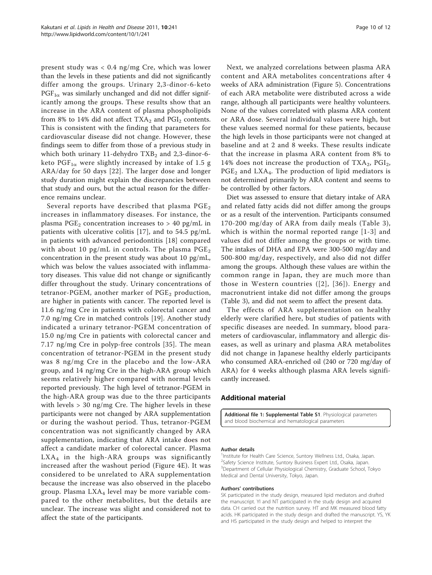<span id="page-9-0"></span>present study was < 0.4 ng/mg Cre, which was lower than the levels in these patients and did not significantly differ among the groups. Urinary 2,3-dinor-6-keto  $PGF_{1\alpha}$  was similarly unchanged and did not differ significantly among the groups. These results show that an increase in the ARA content of plasma phospholipids from 8% to 14% did not affect  $TXA_2$  and  $PGI_2$  contents. This is consistent with the finding that parameters for cardiovascular disease did not change. However, these findings seem to differ from those of a previous study in which both urinary 11-dehydro  $TXB<sub>2</sub>$  and 2,3-dinor-6keto PGF<sub>1 $\alpha$ </sub> were slightly increased by intake of 1.5 g ARA/day for 50 days [[22](#page-10-0)]. The larger dose and longer study duration might explain the discrepancies between that study and ours, but the actual reason for the difference remains unclear.

Several reports have described that plasma  $PGE<sub>2</sub>$ increases in inflammatory diseases. For instance, the plasma PGE<sub>2</sub> concentration increases to  $> 40$  pg/mL in patients with ulcerative colitis [[17\]](#page-10-0), and to 54.5 pg/mL in patients with advanced periodontitis [[18\]](#page-10-0) compared with about 10 pg/mL in controls. The plasma  $PGE_2$ concentration in the present study was about 10 pg/mL, which was below the values associated with inflammatory diseases. This value did not change or significantly differ throughout the study. Urinary concentrations of tetranor-PGEM, another marker of  $PGE<sub>2</sub>$  production, are higher in patients with cancer. The reported level is 11.6 ng/mg Cre in patients with colorectal cancer and 7.0 ng/mg Cre in matched controls [[19\]](#page-10-0). Another study indicated a urinary tetranor-PGEM concentration of 15.0 ng/mg Cre in patients with colorectal cancer and 7.17 ng/mg Cre in polyp-free controls [[35](#page-11-0)]. The mean concentration of tetranor-PGEM in the present study was 8 ng/mg Cre in the placebo and the low-ARA group, and 14 ng/mg Cre in the high-ARA group which seems relatively higher compared with normal levels reported previously. The high level of tetranor-PGEM in the high-ARA group was due to the three participants with levels > 30 ng/mg Cre. The higher levels in these participants were not changed by ARA supplementation or during the washout period. Thus, tetranor-PGEM concentration was not significantly changed by ARA supplementation, indicating that ARA intake does not affect a candidate marker of colorectal cancer. Plasma  $LXA<sub>4</sub>$  in the high-ARA groups was significantly increased after the washout period (Figure [4E](#page-7-0)). It was considered to be unrelated to ARA supplementation because the increase was also observed in the placebo group. Plasma  $LXA<sub>4</sub>$  level may be more variable compared to the other metabolites, but the details are unclear. The increase was slight and considered not to affect the state of the participants.

Next, we analyzed correlations between plasma ARA content and ARA metabolites concentrations after 4 weeks of ARA administration (Figure [5](#page-8-0)). Concentrations of each ARA metabolite were distributed across a wide range, although all participants were healthy volunteers. None of the values correlated with plasma ARA content or ARA dose. Several individual values were high, but these values seemed normal for these patients, because the high levels in those participants were not changed at baseline and at 2 and 8 weeks. These results indicate that the increase in plasma ARA content from 8% to 14% does not increase the production of  $TXA_2$ ,  $PGI_2$ ,  $PGE_2$  and  $LXA_4$ . The production of lipid mediators is not determined primarily by ARA content and seems to be controlled by other factors.

Diet was assessed to ensure that dietary intake of ARA and related fatty acids did not differ among the groups or as a result of the intervention. Participants consumed 170-200 mg/day of ARA from daily meals (Table [3\)](#page-5-0), which is within the normal reported range [\[1-3\]](#page-10-0) and values did not differ among the groups or with time. The intakes of DHA and EPA were 300-500 mg/day and 500-800 mg/day, respectively, and also did not differ among the groups. Although these values are within the common range in Japan, they are much more than those in Western countries ([[2\]](#page-10-0), [[36\]](#page-11-0)). Energy and macronutrient intake did not differ among the groups (Table [3\)](#page-5-0), and did not seem to affect the present data.

The effects of ARA supplementation on healthy elderly were clarified here, but studies of patients with specific diseases are needed. In summary, blood parameters of cardiovascular, inflammatory and allergic diseases, as well as urinary and plasma ARA metabolites did not change in Japanese healthy elderly participants who consumed ARA-enriched oil (240 or 720 mg/day of ARA) for 4 weeks although plasma ARA levels significantly increased.

#### Additional material

[Additional file 1: S](http://www.biomedcentral.com/content/supplementary/1476-511X-10-241-S1.DOC)upplemental Table S1. Physiological parameters and blood biochemical and hematological parameters

#### Author details

<sup>1</sup>Institute for Health Care Science, Suntory Wellness Ltd., Osaka, Japan. <sup>2</sup>Safety Science Institute, Suntory Business Expert Ltd., Osaka, Japan. <sup>3</sup>Department of Cellular Physiological Chemistry, Graduate School, Tokyc Medical and Dental University, Tokyo, Japan.

#### Authors' contributions

SK participated in the study design, measured lipid mediators and drafted the manuscript. YI and NT participated in the study design and acquired data. CH carried out the nutrition survey. HT and MK measured blood fatty acids. HK participated in the study design and drafted the manuscript. YS, YK and HS participated in the study design and helped to interpret the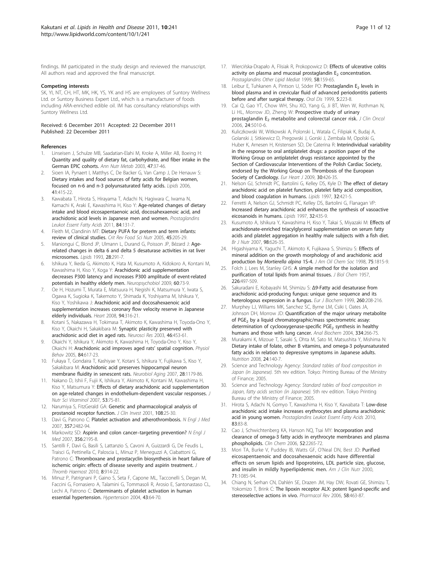<span id="page-10-0"></span>findings. IM participated in the study design and reviewed the manuscript. All authors read and approved the final manuscript.

#### Competing interests

SK, YI, NT, CH, HT, MK, HK, YS, YK and HS are employees of Suntory Wellness Ltd. or Suntory Business Expert Ltd., which is a manufacturer of foods including ARA-enriched edible oil. IM has consultancy relationships with Suntory Wellness Ltd.

#### Received: 6 December 2011 Accepted: 22 December 2011 Published: 22 December 2011

#### References

- 1. Linseisen J, Schulze MB, Saadatian-Elahi M, Kroke A, Miller AB, Boeing H: [Quantity and quality of dietary fat, carbohydrate, and fiber intake in the](http://www.ncbi.nlm.nih.gov/pubmed/12624486?dopt=Abstract) [German EPIC cohorts.](http://www.ncbi.nlm.nih.gov/pubmed/12624486?dopt=Abstract) Ann Nutr Metab 2003, 47:37-46.
- Sioen IA, Pynaert I, Matthys C, De Backer G, Van Camp J, De Henauw S: [Dietary intakes and food sources of fatty acids for Belgian women,](http://www.ncbi.nlm.nih.gov/pubmed/16933786?dopt=Abstract) [focused on n-6 and n-3 polyunsaturated fatty acids.](http://www.ncbi.nlm.nih.gov/pubmed/16933786?dopt=Abstract) Lipids 2006, 41:415-22.
- 3. Kawabata T, Hirota S, Hirayama T, Adachi N, Hagiwara C, Iwama N, Kamachi K, Araki E, Kawashima H, Kiso Y: [Age-related changes of dietary](http://www.ncbi.nlm.nih.gov/pubmed/21420843?dopt=Abstract) [intake and blood eicosapentaenoic acid, docosahexaenoic acid, and](http://www.ncbi.nlm.nih.gov/pubmed/21420843?dopt=Abstract) [arachidonic acid levels in Japanese men and women.](http://www.ncbi.nlm.nih.gov/pubmed/21420843?dopt=Abstract) Prostaglandins Leukot Essent Fatty Acids 2011, 84:131-7.
- 4. Fleith M, Clandinin MT: [Dietary PUFA for preterm and term infants:](http://www.ncbi.nlm.nih.gov/pubmed/16048149?dopt=Abstract) [review of clinical studies.](http://www.ncbi.nlm.nih.gov/pubmed/16048149?dopt=Abstract) Crit Rev Food Sci Nutr 2005, 45:205-29.
- 5. Maniongui C, Blond JP, Ulmann L, Durand G, Poisson JP, Bézard J: [Age](http://www.ncbi.nlm.nih.gov/pubmed/8487621?dopt=Abstract)[related changes in delta 6 and delta 5 desaturase activities in rat liver](http://www.ncbi.nlm.nih.gov/pubmed/8487621?dopt=Abstract) [microsomes.](http://www.ncbi.nlm.nih.gov/pubmed/8487621?dopt=Abstract) Lipids 1993, 28:291-7.
- 6. Ishikura Y, Ikeda G, Akimoto K, Hata M, Kusumoto A, Kidokoro A, Kontani M, Kawashima H, Kiso Y, Koga Y: Arachidonic acid supplementation decreases P300 latency and increases P300 amplitude of event-related potentials in healthy elderly men. Neuropsychobiol 2009, 60:73-9.
- 7. Oe H, Hozumi T, Murata E, Matsuura H, Negishi K, Matsumura Y, Iwata S, Ogawa K, Sugioka K, Takemoto Y, Shimada K, Yoshiyama M, Ishikura Y, Kiso Y, Yoshikawa J: [Arachidonic acid and docosahexaenoic acid](http://www.ncbi.nlm.nih.gov/pubmed/17591648?dopt=Abstract) [supplementation increases coronary flow velocity reserve in Japanese](http://www.ncbi.nlm.nih.gov/pubmed/17591648?dopt=Abstract) [elderly individuals.](http://www.ncbi.nlm.nih.gov/pubmed/17591648?dopt=Abstract) Heart 2008, 94:316-21.
- 8. Kotani S, Nakazawa H, Tokimasa T, Akimoto K, Kawashima H, Toyoda-Ono Y, Kiso Y, Okaichi H, Sakakibara M: [Synaptic plasticity preserved with](http://www.ncbi.nlm.nih.gov/pubmed/12871767?dopt=Abstract) [arachidonic acid diet in aged rats.](http://www.ncbi.nlm.nih.gov/pubmed/12871767?dopt=Abstract) Neurosci Res 2003, 46:453-61.
- 9. Okaichi Y, Ishikura Y, Akimoto K, Kawashima H, Toyoda-Ono Y, Kiso Y, Okaichi H: [Arachidonic acid improves aged rats](http://www.ncbi.nlm.nih.gov/pubmed/15811397?dopt=Abstract)' spatial cognition. Physiol Behav 2005, 84:617-23.
- 10. Fukaya T, Gondaira T, Kashiyae Y, Kotani S, Ishikura Y, Fujikawa S, Kiso Y, Sakakibara M: [Arachidonic acid preserves hippocampal neuron](http://www.ncbi.nlm.nih.gov/pubmed/16790296?dopt=Abstract) [membrane fluidity in senescent rats.](http://www.ncbi.nlm.nih.gov/pubmed/16790296?dopt=Abstract) Neurobiol Aging 2007, 28:1179-86.
- 11. Nakano D, Ishii F, Fujii K, Ishikura Y, Akimoto K, Kontani M, Kawashima H, Kiso Y, Matsumura Y: [Effects of dietary arachidonic acid supplementation](http://www.ncbi.nlm.nih.gov/pubmed/17484384?dopt=Abstract) [on age-related changes in endothelium-dependent vascular responses.](http://www.ncbi.nlm.nih.gov/pubmed/17484384?dopt=Abstract) J Nutr Sci Vitaminol 2007, 53:75-81.
- 12. Narumiya S, FitzGerald GA: [Genetic and pharmacological analysis of](http://www.ncbi.nlm.nih.gov/pubmed/11435452?dopt=Abstract) [prostanoid receptor function.](http://www.ncbi.nlm.nih.gov/pubmed/11435452?dopt=Abstract) J Clin Invest 2001, 108:25-30.
- 13. Davì G, Patrono C: [Platelet activation and atherothrombosis.](http://www.ncbi.nlm.nih.gov/pubmed/18077812?dopt=Abstract) N Engl J Med 2007, 357:2482-94.
- 14. Markowitz SD: Aspirin and colon cancer-[targeting prevention?](http://www.ncbi.nlm.nih.gov/pubmed/17522404?dopt=Abstract) N Engl J Med 2007, 356:2195-8.
- 15. Santilli F, Davì G, Basili S, Lattanzio S, Cavoni A, Guizzardi G, De Feudis L, Traisci G, Pettinella C, Paloscia L, Minuz P, Meneguzzi A, Ciabattoni G, Patrono C: [Thromboxane and prostacyclin biosynthesis in heart failure of](http://www.ncbi.nlm.nih.gov/pubmed/20180823?dopt=Abstract) [ischemic origin: effects of disease severity and aspirin treatment.](http://www.ncbi.nlm.nih.gov/pubmed/20180823?dopt=Abstract) J Thromb Haemost 2010, 8:914-22.
- 16. Minuz P, Patrignani P, Gaino S, Seta F, Capone ML, Tacconelli S, Degan M, Faccini G, Fornasiero A, Talamini G, Tommasoli R, Arosio E, Santonastaso CL, Lechi A, Patrono C: [Determinants of platelet activation in human](http://www.ncbi.nlm.nih.gov/pubmed/14656953?dopt=Abstract) [essential hypertension.](http://www.ncbi.nlm.nih.gov/pubmed/14656953?dopt=Abstract) Hypertension 2004, 43:64-70.
- 17. Wiercińska-Drapało A, Flisiak R, Prokopowicz D: [Effects of ulcerative colitis](http://www.ncbi.nlm.nih.gov/pubmed/10560618?dopt=Abstract) activity on plasma and mucosal prostaglandin  $E<sub>2</sub>$  [concentration.](http://www.ncbi.nlm.nih.gov/pubmed/10560618?dopt=Abstract) Prostaglandins Other Lipid Mediat 1999, 58:159-65.
- 18. Leibur E, Tuhkanen A, Pintson U, Söder PO: Prostaglandin E<sub>2</sub> [levels in](http://www.ncbi.nlm.nih.gov/pubmed/10483068?dopt=Abstract) [blood plasma and in crevicular fluid of advanced periodontitis patients](http://www.ncbi.nlm.nih.gov/pubmed/10483068?dopt=Abstract) [before and after surgical therapy.](http://www.ncbi.nlm.nih.gov/pubmed/10483068?dopt=Abstract) Oral Dis 1999, 5:223-8.
- 19. Cai Q, Gao YT, Chow WH, Shu XO, Yang G, Ji BT, Wen W, Rothman N, Li HL, Morrow JD, Zheng W: [Prospective study of urinary](http://www.ncbi.nlm.nih.gov/pubmed/17075120?dopt=Abstract) prostaglandin  $E_2$  [metabolite and colorectal cancer risk.](http://www.ncbi.nlm.nih.gov/pubmed/17075120?dopt=Abstract) J Clin Oncol 2006, 24:5010-6.
- 20. Kuliczkowski W, Witkowski A, Polonski L, Watala C, Filipiak K, Budaj A, Golanski J, Sitkiewicz D, Pregowski J, Gorski J, Zembala M, Opolski G, Huber K, Arnesen H, Kristensen SD, De Caterina R: [Interindividual variability](http://www.ncbi.nlm.nih.gov/pubmed/19174428?dopt=Abstract) [in the response to oral antiplatelet drugs: a position paper of the](http://www.ncbi.nlm.nih.gov/pubmed/19174428?dopt=Abstract) [Working Group on antiplatelet drugs resistance appointed by the](http://www.ncbi.nlm.nih.gov/pubmed/19174428?dopt=Abstract) [Section of Cardiovascular Interventions of the Polish Cardiac Society,](http://www.ncbi.nlm.nih.gov/pubmed/19174428?dopt=Abstract) [endorsed by the Working Group on Thrombosis of the European](http://www.ncbi.nlm.nih.gov/pubmed/19174428?dopt=Abstract) [Society of Cardiology.](http://www.ncbi.nlm.nih.gov/pubmed/19174428?dopt=Abstract) Eur Heart J 2009, 30:426-35.
- 21. Nelson GJ, Schmidt PC, Bartolini G, Kelley DS, Kyle D: [The effect of dietary](http://www.ncbi.nlm.nih.gov/pubmed/9113631?dopt=Abstract) [arachidonic acid on platelet function, platelet fatty acid composition,](http://www.ncbi.nlm.nih.gov/pubmed/9113631?dopt=Abstract) [and blood coagulation in humans.](http://www.ncbi.nlm.nih.gov/pubmed/9113631?dopt=Abstract) Lipids 1997, 32:421-5.
- 22. Ferretti A, Nelson GJ, Schmidt PC, Kelley DS, Bartolini G, Flanagan VP: [Increased dietary arachidonic acid enhances the synthesis of vasoactive](http://www.ncbi.nlm.nih.gov/pubmed/9113633?dopt=Abstract) [eicosanoids in humans.](http://www.ncbi.nlm.nih.gov/pubmed/9113633?dopt=Abstract) Lipids 1997, 32:435-9.
- 23. Kusumoto A, Ishikura Y, Kawashima H, Kiso Y, Takai S, Miyazaki M: [Effects of](http://www.ncbi.nlm.nih.gov/pubmed/17445350?dopt=Abstract) [arachidonate-enriched triacylglycerol supplementation on serum fatty](http://www.ncbi.nlm.nih.gov/pubmed/17445350?dopt=Abstract) [acids and platelet aggregation in healthy male subjects with a fish diet.](http://www.ncbi.nlm.nih.gov/pubmed/17445350?dopt=Abstract) Br J Nutr 2007, 98:626-35.
- 24. Higashiyama K, Yaguchi T, Akimoto K, Fujikawa S, Shimizu S: Effects of mineral addition on the growth morphology of and arachidonic acid production by Mortierella alpina 1S-4. J Am Oil Chem Soc 1998, 75:1815-9.
- 25. Folch J, Lees M, Stanley GHS: [A simple method for the isolation and](http://www.ncbi.nlm.nih.gov/pubmed/13428781?dopt=Abstract) [purification of total lipids from animal tissues.](http://www.ncbi.nlm.nih.gov/pubmed/13428781?dopt=Abstract) J Biol Chem 1957, 226:497-509.
- 26. Sakuradani E, Kobayashi M, Shimizu S: Δ[9-Fatty acid desaturase from](http://www.ncbi.nlm.nih.gov/pubmed/10091601?dopt=Abstract) [arachidonic acid-producing fungus: unique gene sequence and its](http://www.ncbi.nlm.nih.gov/pubmed/10091601?dopt=Abstract) [heterologous expression in a fungus.](http://www.ncbi.nlm.nih.gov/pubmed/10091601?dopt=Abstract) Eur J Biochem 1999, 260:208-216.
- 27. Murphey LJ, Williams MK, Sanchez SC, Byrne LM, Csiki I, Oates JA, Johnson DH, Morrow JD: [Quantification of the major urinary metabolite](http://www.ncbi.nlm.nih.gov/pubmed/15494133?dopt=Abstract) of PGE<sub>2</sub> [by a liquid chromatographic/mass spectrometric assay:](http://www.ncbi.nlm.nih.gov/pubmed/15494133?dopt=Abstract) determination of cyclooxygenase-specific PGE<sub>2</sub> [synthesis in healthy](http://www.ncbi.nlm.nih.gov/pubmed/15494133?dopt=Abstract) [humans and those with lung cancer.](http://www.ncbi.nlm.nih.gov/pubmed/15494133?dopt=Abstract) Anal Biochem 2004, 334:266-75.
- 28. Murakami K, Mizoue T, Sasaki S, Ohta M, Sato M, Matsushita Y, Mishima N: [Dietary intake of folate, other B vitamins, and omega-3 polyunsaturated](http://www.ncbi.nlm.nih.gov/pubmed/18061404?dopt=Abstract) [fatty acids in relation to depressive symptoms in Japanese adults.](http://www.ncbi.nlm.nih.gov/pubmed/18061404?dopt=Abstract) Nutrition 2008, 24:140-7.
- 29. Science and Technology Agency: Standard tables of food composition in Japan (in Japanese). 5th rev edition. Tokyo: Printing Bureau of the Ministry of Finance; 2005.
- 30. Science and Technology Agency: Standard tables of food composition in Japan, fatty acids section (in Japanese). 5th rev edition. Tokyo Printing Bureau of the Ministry of Finance; 2005.
- 31. Hirota S, Adachi N, Gomyo T, Kawashima H, Kiso Y, Kawabata T: [Low-dose](http://www.ncbi.nlm.nih.gov/pubmed/20580541?dopt=Abstract) [arachidonic acid intake increases erythrocytes and plasma arachidonic](http://www.ncbi.nlm.nih.gov/pubmed/20580541?dopt=Abstract) [acid in young women.](http://www.ncbi.nlm.nih.gov/pubmed/20580541?dopt=Abstract) Prostaglandins Leukot Essent Fatty Acids 2010, 83:83-8.
- 32. Cao J, Schwichtenberg KA, Hanson NQ, Tsai MY: [Incorporation and](http://www.ncbi.nlm.nih.gov/pubmed/17053155?dopt=Abstract) [clearance of omega-3 fatty acids in erythrocyte membranes and plasma](http://www.ncbi.nlm.nih.gov/pubmed/17053155?dopt=Abstract) [phospholipids.](http://www.ncbi.nlm.nih.gov/pubmed/17053155?dopt=Abstract) Clin Chem 2006, 52:2265-72.
- 33. Mori TA, Burke V, Puddey IB, Watts GF, O'Neal DN, Best JD: [Purified](http://www.ncbi.nlm.nih.gov/pubmed/10799369?dopt=Abstract) [eicosapentaenoic and docosahexaenoic acids have differential](http://www.ncbi.nlm.nih.gov/pubmed/10799369?dopt=Abstract) [effects on serum lipids and lipoproteins, LDL particle size, glucose,](http://www.ncbi.nlm.nih.gov/pubmed/10799369?dopt=Abstract) [and insulin in mildly hyperlipidemic men.](http://www.ncbi.nlm.nih.gov/pubmed/10799369?dopt=Abstract) Am J Clin Nutr 2000, 71:1085-94.
- 34. Chiang N, Serhan CN, Dahlén SE, Drazen JM, Hay DW, Rovati GE, Shimizu T, Yokomizo T, Brink C: [The lipoxin receptor ALX: potent ligand-specific and](http://www.ncbi.nlm.nih.gov/pubmed/16968948?dopt=Abstract) [stereoselective actions in vivo.](http://www.ncbi.nlm.nih.gov/pubmed/16968948?dopt=Abstract) Pharmacol Rev 2006, 58:463-87.